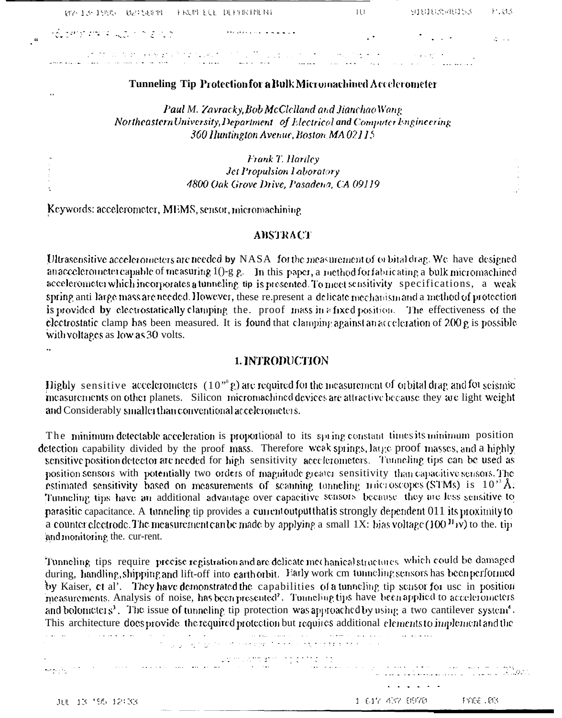| - 177- 13- 1995 - 102: 588 TH - FRUM ECE DEFRICIMENT                                                                                    | and <b>III</b> and the second | -918183548153 - P.03. |  |
|-----------------------------------------------------------------------------------------------------------------------------------------|-------------------------------|-----------------------|--|
| いるうせい セキュ くさいう おんざい<br>$\mathcal{L}_{\mathcal{A}}$ , and the second contribution of the second contribution $\mathcal{L}_{\mathcal{A}}$ |                               |                       |  |
| and the property of the second contract to be a second to the contract of the second second contract of the contract of                 |                               |                       |  |

# **Tunneling Tip Protection for a Bulk Micronachined Accelerometer**

Paul M. Zavracky, Bob McClelland and Jianchao Wang Northeastern University, Department of Electrical and Computer Engineering 360 Huntington Avenue, Boston, MA 02115

> **Frank T. Hariley Jet Propulsion Laboratory** 4800 Oak Grove Drive, Pasadena, CA 09119

Keywords: accelerometer, MEMS, sensor, micromachining

## **ABSTRACT**

Ultrasensitive accelerometers are needed by NASA for the measurement of orbital drag. We have designed an accelerometer capable of measuring  $1()$ -g g. In this paper, a method for fabricating a bulk micromachined accelerometer which incorporates a tunneling tip is presented. To meet sensitivity specifications, a weak spring anti-large mass are needed. However, these re, present a delicate mechanism and a method of protection is provided by electrostatically clamping the. proof mass in a fixed position. The effectiveness of the electrostatic clamp has been measured. It is found that clamping against an acceleration of  $200 \, \text{g}$  is possible with voltages as low as 30 volts.

1. INTRODUCTION

Highly sensitive accelerometers  $(10^{18}g)$  are required for the measurement of orbital drag and for seismic measurements on other planets. Silicon micromachined devices are attractive because they are light weight and Considerably smaller than conventional accelerometers.

The minimum detectable acceleration is proportional to its spring constant times its minimum position detection capability divided by the proof mass. Therefore weak springs, large proof masses, and a highly sensitive position detector are needed for high sensitivity accelerometers. Tunneling tips can be used as position sensors with potentially two orders of magnitude greater sensitivity than capacitive sensors. The estimated sensitivity based on measurements of scanning tonneling matricoscopes (STMs) is  $10^{38}$  Å. Tunneling tips have an additional advantage over capacitive sensors because they are less sensitive to parasitic capacitance. A tunneling tip provides a current output that is strongly dependent 011 its proximity to a counter electrode. The measurement can be made by applying a small 1X: bias voltage  $(100^{11}v)$  to the, tip and monitoring the. cur-rent.

Tunneling tips require precise registration and are delicate mechanical structures which could be damaged during, handling, shipping and lift-off into earth orbit. Early work cm tunneling sensors has been performed by Kaiser, et al'. They have demonstrated the capabilities of a tunneling tip sensor for use in position measurements. Analysis of noise, has been presented?. Tunneling tips have been applied to accelerometers and bolometers<sup>3</sup>. The issue of tunneling tip protection was approached by using a two cantilever system<sup>4</sup>. This architecture does provide the required protection but requires additional elements to implement and the a na Sirika (Santa Luardian) na Sirika (Santa Luardian)<br>Se Significa (Santa Luardian) na Sirika (Santa Luardian)

 $\frac{1}{2} \sum_{i=1}^n \frac{1}{2} \sum_{j=1}^n \frac{1}{2} \sum_{j=1}^n \frac{1}{2} \sum_{j=1}^n \frac{1}{2} \sum_{j=1}^n \frac{1}{2} \sum_{j=1}^n \frac{1}{2} \sum_{j=1}^n \frac{1}{2} \sum_{j=1}^n \frac{1}{2} \sum_{j=1}^n \frac{1}{2} \sum_{j=1}^n \frac{1}{2} \sum_{j=1}^n \frac{1}{2} \sum_{j=1}^n \frac{1}{2} \sum_{j=1}^n \frac{1}{2} \sum_{j=$ 

JUL 13 '95 12:33

**PAGE.03**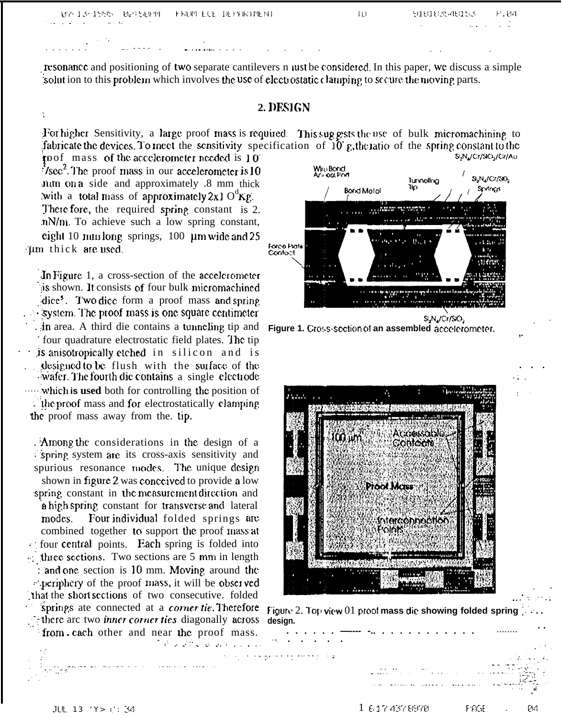| ANY 13 1995 ANISAN'I HEALTH ECE DEFERTMENT                                                                                                |                                                             | $\mathbf{H}$ | 918183548153 — P.04                                                                                             |
|-------------------------------------------------------------------------------------------------------------------------------------------|-------------------------------------------------------------|--------------|-----------------------------------------------------------------------------------------------------------------|
| the company of the company of the company of the company of the company of the company of                                                 |                                                             |              | the contract of the contract of the contract of the contract of the contract of the contract of the contract of |
| $\mathcal{L}^{\mathcal{L}}(\mathcal{L}^{\mathcal{L}})$ and $\mathcal{L}^{\mathcal{L}}(\mathcal{L}^{\mathcal{L}})$ . The contribution<br>. | the control of the control of the control of the control of |              |                                                                                                                 |

resonance and positioning of two separate cantilevers n just be considered. In this paper, we discuss a simple solut ion to this problem which involves the use of electrostatic clamping to secure the moving parts.

# 2. DESIGN

For higher Sensitivity, a large proof mass is required. This suggests the use of bulk micromachining to fabricate the devices. To meet the sensitivity specification of  $\tilde{10}$  g, the ratio of the spring constant to the S<sub>3</sub>N<sub>4</sub>/Ct/SlO<sub>2</sub>/Ct/Au

poof mass of the accelerometer needed is 10  $\sqrt[3]{\sec^2}$ . The proof mass in our accelerometer is 10 num on a side and approximately .8 mm thick with a total mass of approximately  $2x$  O<sup>d</sup>Kg. There fore, the required spring constant is 2.  $nN/n$ . To achieve such a low spring constant, eight 10 mm long springs, 100 µm wide and 25 Alm thick are used.

In Figure 1, a cross-section of the accelerometer is shown. It consists of four bulk micromachined dice<sup>5</sup>. Two dice form a proof mass and spring system. The proof mass is one square centimeter in area. A third die contains a tunneling tip and four quadrature electrostatic field plates. The tip is anisotropically etched in silicon and is designed to be flush with the surface of the wafer. The fourth die contains a single electrode which is used both for controlling the position of The proof mass and for electrostatically clamping the proof mass away from the tip.

. Among the considerations in the design of a spring system are its cross-axis sensitivity and spurious resonance modes. The unique design shown in figure 2 was conceived to provide a low spring constant in the measurement direction and a high spring constant for transverse and lateral Four individual folded springs are modes. combined together to support the proof mass at four central points. Each spring is folded into three sections. Two sections are 5 mm in length and one section is 10 mm. Moving around the Exempliery of the proof mass, it will be observed that the short sections of two consecutive, folded springs ate connected at a *corner tie*. Therefore there are two *inner corner ties* diagonally across

from cach other and near the proof mass.

 $\mathcal{O}(\log{2\pi})$  and the contract of the second second second



SI<sub>3</sub>N<sub>4</sub>/Cr/SIO<sub>2</sub> Figure 1. Cross-section of an assembled accelerometer.



Figure 2. Top view 01 proof mass die showing folded spring desian.

1 6 1 7 4 3 7 8 9 7 0

**FAGE** 

04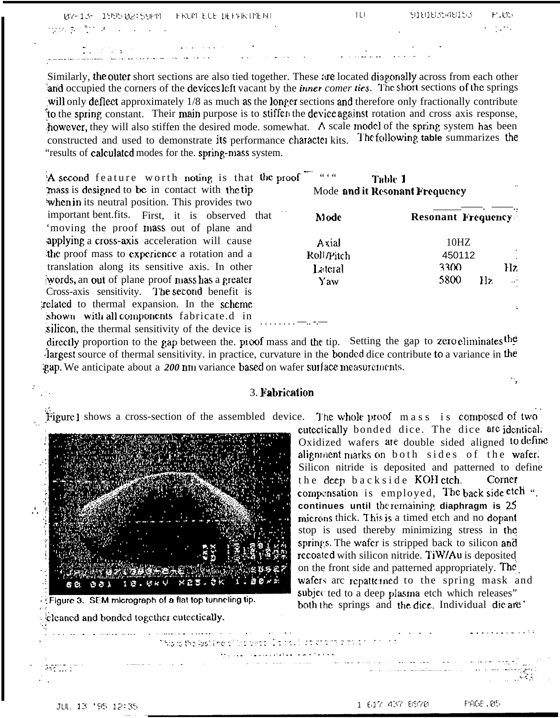$|U|$ 918183548153  $P.05$ FRUM ECE DEPARTMENT 07-13-1995 02:59PM radh Bir  $\mathcal{A}_{\mathcal{A}}$  , and

Similarly, the outer short sections are also tied together. These are located diagonally across from each other and occupied the corners of the devices left vacant by the *inner comer ties*. The short sections of the springs will only deflect approximately 1/8 as much as the longer sections and therefore only fractionally contribute to the spring constant. Their main purpose is to stiffer the device against rotation and cross axis response, however, they will also stiffen the desired mode. somewhat. A scale model of the spring system has been constructed and used to demonstrate its performance character kits. The following table summarizes the "results of calculated modes for the. spring-mass system.

A second feature worth noting is that the pa mass is designed to be in contact with the tip when in its neutral position. This provides two important bent.fits. First, it is observed that 'moving the proof mass out of plane and applying a cross-axis acceleration will cause the proof mass to experience a rotation and a translation along its sensitive axis. In other words, an out of plane proof mass has a greater Cross-axis sensitivity. The second benefit is related to thermal expansion. In the scheme shown with all components fabricate.d in silicon, the thermal sensitivity of the device is

| Mode       | <b>Resonant Frequency</b> |    |     |
|------------|---------------------------|----|-----|
| Axial      | 10HZ                      |    |     |
| Roll/Pitch | 450112                    |    |     |
| Lateral    | 3300                      |    | Hz  |
| Yaw        | 5800                      | Hz | ЦÝ. |

directly proportion to the gap between the proof mass and the tip. Setting the gap to zero eliminates the largest source of thermal sensitivity. in practice, curvature in the bonded dice contribute to a variance in the gap. We anticipate about a 200 nm variance based on wafer surface measurements.

### 3. Fabrication

Nis to the last the citter pape. Do trevillable arrangement of

Figure 1 shows a cross-section of the assembled device. The whole proof mass is composed of two

Figure 3. SEM micrograph of a flat top tunneling tip. cleaned and bonded together cutectically.

cutectically bonded dice. The dice are identical. Oxidized wafers are double sided aligned to define alignment marks on both sides of the wafer. Silicon nitride is deposited and patterned to define the deep backside KOH etch. Comer compensation is employed. The back side etch ". continues until the remaining diaphragm is  $25$ microns thick. This is a timed etch and no dopant stop is used thereby minimizing stress in the springs. The wafer is stripped back to silicon and **recoated** with silicon nitride. TiW/Au is deposited on the front side and patterned appropriately. The wafers are repatterned to the spring mask and subjected to a deep plasma etch which releases" both the springs and the dice. Individual die are

JUL 13 '95 12:35

1 617 437 8970

**PAGE.05**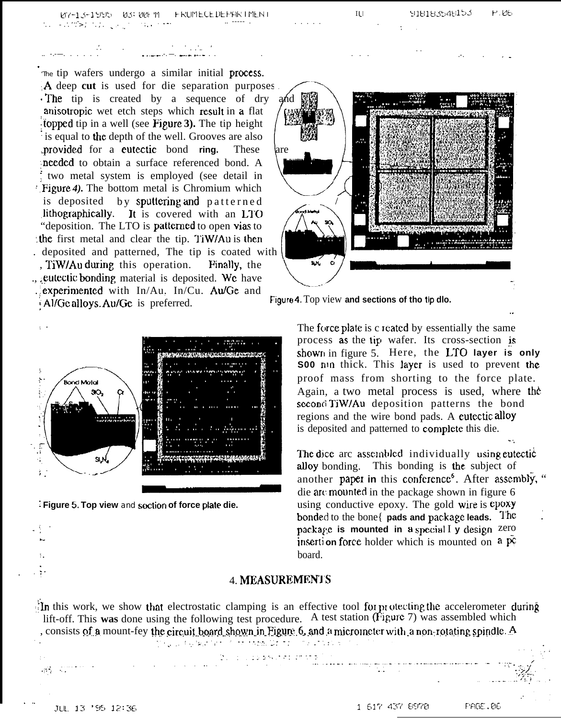MY-13-1995 03:00 M FRUMECEDEPARTMENT しょうかる かいか

The tip wafers undergo a similar initial process. A deep cut is used for die separation purposes The tip is created by a sequence of dry anisotropic wet etch steps which result in a flat topped tip in a well (see Figure 3). The tip height is equal to the depth of the well. Grooves are also provided for a eutectic bond ring. These **needed** to obtain a surface referenced bond. A two metal system is employed (see detail in **Figure 4).** The bottom metal is Chromium which is deposited by sputtering and patterned lithographically. It is covered with an LTO "deposition. The LTO is patterned to open vias to the first metal and clear the tip. TiW/Au is then . deposited and patterned, The tip is coated with , TiW/Au during this operation. Finally, the ., eutectic bonding material is deposited. We have experimented with In/Au. In/Cu. Au/Ge and

: Al/Ge alloys. Au/Ge is preferred.



Figure 5. Top view and soction of force plate die.

and lare

918183548153

 $P.06$ 

Figure 4. Top view and sections of tho tip dlo.

IU

The force plate is c reated by essentially the same process as the tip wafer. Its cross-section is shown in figure 5. Here, the LTO layer is only soo nin thick. This layer is used to prevent the proof mass from shorting to the force plate. Again, a two metal process is used, where the second TiW/Au deposition patterns the bond regions and the wire bond pads. A cutectic alloy is deposited and patterned to complete this die.

The dice are assembled individually using eutectic alloy bonding. This bonding is the subject of another paper in this conference<sup>6</sup>. After assembly, " die are mounted in the package shown in figure 6 using conductive epoxy. The gold wire is epoxy bonded to the bone [pads and package leads. The package is mounted in a special I y design  $Zero$ insertion force holder which is mounted on a pc board.

## 4. MEASUREMENTS

In this work, we show that electrostatic clamping is an effective tool for protecting the accelerometer during lift-off. This was done using the following test procedure. A test station (Figure 7) was assembled which consists of a mount-fey the circuit board shown in Figure 6, and a micrometer with a non-rotating spindle. A

|                                                                                                  | A SAN DI MARKA A SAN DI MANJINI NA MANJINI NA KAOMINI NA KUWA MTO NA MATAO NA MANJINI NA MANJINI NA MATINI NA M<br>i megyik keredettek elő kereszte. De melletek a tarálló is elő elő elő                                     |           |        |
|--------------------------------------------------------------------------------------------------|-------------------------------------------------------------------------------------------------------------------------------------------------------------------------------------------------------------------------------|-----------|--------|
|                                                                                                  | $\sim$ $\Delta$ , $\sim$ $\pm$ $\sim$ $\pm$ $\omega$ $\approx$ $\sim$ $\sim$ $\sim$ $\sim$ $\sim$ $\sim$                                                                                                                      |           |        |
| $\mathcal{L}_{\text{max}}$ , where $\mathcal{L}_{\text{max}}$ , where $\mathcal{L}_{\text{max}}$ | and the companion of the companion of the companion of the companion of the companion of the companion of the companion of the companion of the companion of the companion of the companion of the companion of the companion | $\bullet$ | mates. |
|                                                                                                  |                                                                                                                                                                                                                               |           |        |

 $\mathbb{C}$ 

 $\ddotsc$ 

**PAGE, 06**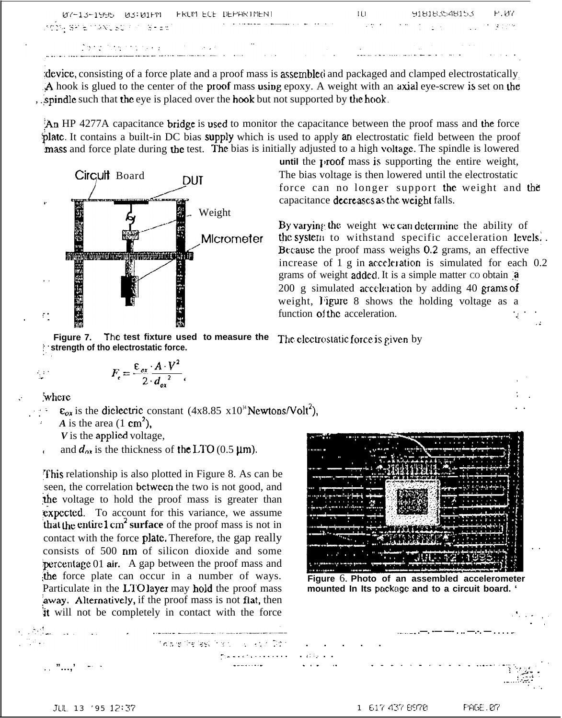| U7-13-1995 U3:01PM FRUM ECE DEPARTMENT |                              |                                                                                             | $\mathbf{H}$                                                                                                   | -918183548153 P. <i>07</i>                  |  |
|----------------------------------------|------------------------------|---------------------------------------------------------------------------------------------|----------------------------------------------------------------------------------------------------------------|---------------------------------------------|--|
| IMOON, GRIE MANUSUR KII ISHE 61.       |                              | $\mathcal{L}$ , and the constraints of the constraints of the contribution of $\mathcal{L}$ |                                                                                                                | 이 주장에 대한 이번에 이번 이 일이 없는 것이 없는 것이 좋아한 것이 없다. |  |
|                                        | こうかんせいひんそうかた ウィッシュ・シー アンファイン |                                                                                             | a series and the series of the series of the series of the series of the series of the series of the series of |                                             |  |

device, consisting of a force plate and a proof mass is assembled and packaged and clamped electrostatically. A hook is glued to the center of the proof mass using epoxy. A weight with an axial eye-screw is set on the , spindle such that the eye is placed over the hook but not supported by the hook.

 $~\gamma$ An HP 4277A capacitance bridge is used to monitor the capacitance between the proof mass and the force plate. It contains a built-in DC bias supply which is used to apply an electrostatic field between the proof mass and force plate during the test. The bias is initially adjusted to a high voltage. The spindle is lowered



**Figure 7. The test fixture used to measure the the interprete of tho electrostatic force.**<br> *.* 

$$
F_c = \frac{\varepsilon_{ox} A \cdot V^2}{2 \cdot d_{ox}^2}.
$$

. . **:Whcre**

;<br>: : : **."-**

 $\ddot{\phantom{a}}$ .

,.

 $\epsilon_{ox}$  is the diclectric constant (4x8.85 x10<sup> $\mu$ </sup>Newtons/Volt<sup>2</sup>),

A is the area  $(1 \text{ cm}^2)$ ,

- *V* is the applied voltage,
- and  $d_{\alpha}$  is the thickness of the LTO (0.5  $\mu$ m).

~1'his relationship is also plotted in Figure 8. As can be seen, the correlation bctwccn the two is not good, and the voltage to hold the proof mass is greater than **expected.** To account for this variance, we assume that the entire 1 cm<sup>2</sup> surface of the proof mass is not in contact with the force plate, Therefore, the gap really consists of 500 nm of silicon dioxide and some percentage 01 **air.** A gap between the proof mass and the force plate can occur in a number of ways. Particulate in the  $LTO$  layer may hold the proof mass away. Alternatively, if the proof mass is not flat, then it will not be completely in contact with the force

-. . . . . . . . . .

: . . . . . . . . . . . . . .<br>Defensive entre . . . . . . .

until the **proof** mass is supporting the entire weight, The bias voltage is then lowered until the electrostatic force can no longer support the weight and the capacitance decreases as the weight falls.

By varying the weight we can determine the ability of the system to withstand specific acceleration levels. Because the proof mass weighs 0.2 grams, an effective increase of  $1$  g in acceleration is simulated for each  $0.2$ grams of weight added. It is a simple matter co obtain a 200 g simulated acceleration by adding 40 grams of weight, Figure 8 shows the holding voltage as a function of the acceleration. -: ,:

The electrostatic force is given by

**. . . . .**

**. ,: :.. . .**

| التقوي<br>a.                     | $\cdot$ .<br><b>DESTROY</b><br>п | للمتحدث<br>ाग        |                          | .,     |  |
|----------------------------------|----------------------------------|----------------------|--------------------------|--------|--|
|                                  |                                  |                      |                          |        |  |
| .                                | п<br>وبر بيه بي                  | <b>Property</b>      | ┅<br><b>The Second</b>   |        |  |
|                                  | ٠<br>$\cdots$                    |                      | ш                        | m<br>r |  |
| E<br>п                           |                                  | 4<br><b>STATE OF</b> | П<br>4. S. 42            | $-11$  |  |
|                                  |                                  |                      |                          |        |  |
|                                  |                                  |                      | also.<br><b>PERSONAL</b> |        |  |
| والتجاملة                        |                                  |                      |                          |        |  |
|                                  |                                  |                      |                          |        |  |
| is un                            |                                  |                      |                          | .      |  |
| e e comu<br><b>16 4 8 9</b><br>ш | ю                                |                      | <b>Table</b>             |        |  |
|                                  |                                  |                      |                          |        |  |
| ی شونوی و پ                      | <b>ALANDRY</b><br>.<br>٠         |                      |                          |        |  |
|                                  |                                  |                      |                          |        |  |
|                                  |                                  |                      | ш                        |        |  |
| -----                            |                                  | m                    |                          |        |  |
|                                  | . .<br>۰.                        |                      | <b>POULD A</b>           |        |  |
| <b>COLLEGE</b>                   |                                  |                      |                          |        |  |
| <b>MARK MARKET</b>               | -                                |                      |                          |        |  |
|                                  | a.<br>I DA                       |                      | - 1                      |        |  |
|                                  |                                  |                      |                          |        |  |
|                                  | .                                | тп                   |                          |        |  |
|                                  |                                  |                      |                          |        |  |

**Figure** 6. **Photo of an assembled accelerometer** mounted In Its package and to a circuit board.

. .-.. . . . . . . . . . . . . . . . ..-.,..

., **"...,'**

**.-. .. —- .—. -— —- . .. —.-. — . . . . . -.**

,' ;<br>;<br>;

**t ,,.**

.  $\mathcal{L}_{\mathbf{r}}$  . **-.'.**

? ..- . ب<del>م</del> . . . . . .

. .

.,. .,

.,

.,.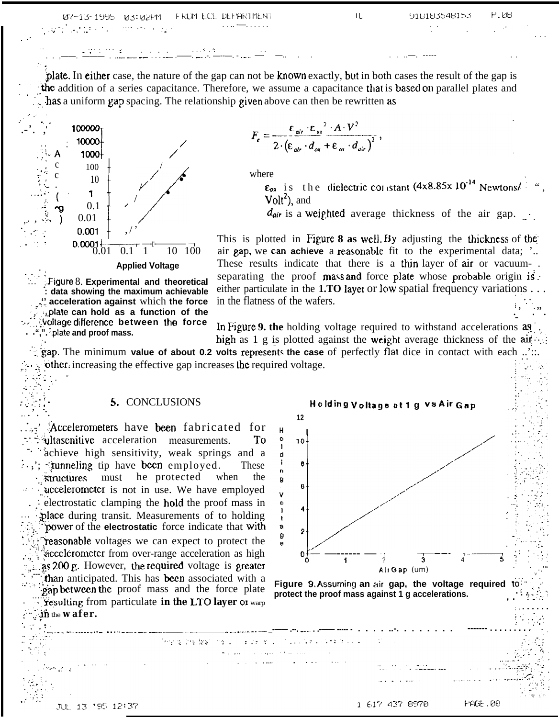| U7-13-1995 US:UZFM FRUM ECE DEPARTMENT                                                                             | $\mathbf{H}$ | 918183548153 P.08                                                                                                                                                           |               |
|--------------------------------------------------------------------------------------------------------------------|--------------|-----------------------------------------------------------------------------------------------------------------------------------------------------------------------------|---------------|
| . <del>.</del><br>a nguyeri sa tangguna ang mga pag-agang                                                          |              | $\mathcal{L}(\mathcal{L}^{\mathcal{L}})$ and $\mathcal{L}(\mathcal{L}^{\mathcal{L}})$ and $\mathcal{L}^{\mathcal{L}}$ are the set of the set of $\mathcal{L}^{\mathcal{L}}$ | $\sim$ $\sim$ |
| the second contract of the second contract of the second contract of the second contract of the second contract of |              |                                                                                                                                                                             |               |

plate. In either case, the nature of the gap can not be known exactly, but in both cases the result of the gap is the addition of a series capacitance. Therefore, we assume a capacitance that is based on parallel plates and has a uniform gap spacing. The relationship given above can then be rewritten as



Figure 8. Experimental and theoretical data showing the maximum achievable acceleration against which the force plate can hold as a function of the Voltage difference between the force ". plate and proof mass.



where

 $\epsilon_{ox}$  is the dielectric constant  $(4 \times 8.85 \times 10^{-14} \text{ Newtons/}$ .  $Volt^2$ ), and

 $d_{air}$  is a weighted average thickness of the air gap.

This is plotted in Figure 8 as well. By adjusting the thickness of the air gap, we can achieve a reasonable fit to the experimental data; '.. These results indicate that there is a thin layer of air or vacuum-. separating the proof mass and force plate whose probable origin is. either particulate in the 1.TO layer or low spatial frequency variations ... in the flatness of the wafers.

In Figure 9. the holding voltage required to withstand accelerations as. high as 1 g is plotted against the weight average thickness of the  $air \rightarrow$ 

gap. The minimum value of about 0.2 volts represents the case of perfectly flat dice in contact with each other, increasing the effective gap increases the required voltage.

#### **5. CONCLUSIONS**

Accelerometers have been fabricated for **ultasenitive** acceleration measurements. To achieve high sensitivity, weak springs and a  $\exists$  tunneling tip have been employed. **These** structures must he protected when the accelerometer is not in use. We have employed electrostatic clamping the **hold** the proof mass in place during transit. Measurements of to holding power of the electrostatic force indicate that with reasonable voltages we can expect to protect the accolorometer from over-range acceleration as high as 200 g. However, the required voltage is greater than anticipated. This has been associated with a gap between the proof mass and the force plate **Fesulting from particulate in the LTO layer or warp** in the  $\bf{water}.$ 

ment the fast insid





JUL 13 '95 12:37

1 617 437 8970

**PAGE.08**